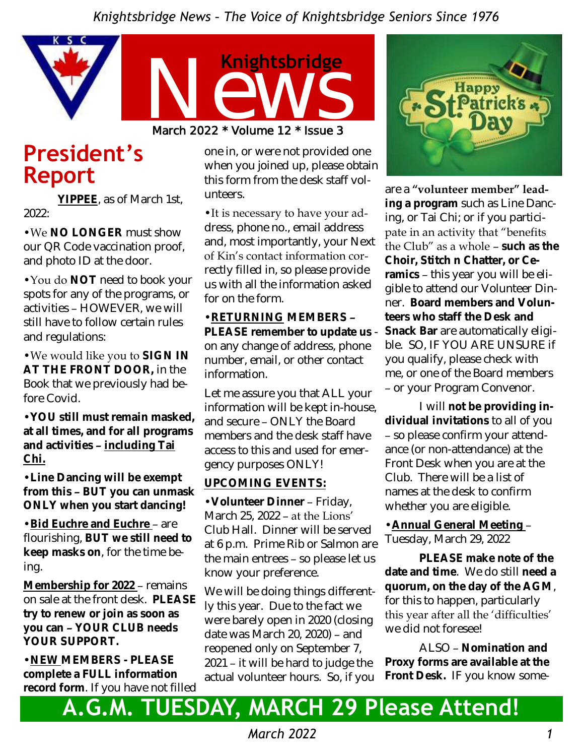

# **President's Report**

**YIPPEE**, as of March 1st, 2022:

•We **NO LONGER** must show our QR Code vaccination proof, and photo ID at the door.

•You do **NOT** need to book your spots for any of the programs, or activities – HOWEVER, we will still have to follow certain rules and regulations:

•We would like you to **SIGN IN AT THE FRONT DOOR,** in the Book that we previously had before Covid.

•**YOU still must remain masked, at all times, and for all programs and activities – including Tai Chi.**

•**Line Dancing will be exempt from this – BUT you can unmask ONLY when you start dancing!**

•**Bid Euchre and Euchre** – are flourishing, **BUT we still need to keep masks on**, for the time being.

**Membership for 2022** – remains on sale at the front desk. **PLEASE try to renew or join as soon as you can – YOUR CLUB needs YOUR SUPPORT.**

•**NEW MEMBERS - PLEASE complete a FULL information record form**. If you have not filled one in, or were not provided one when you joined up, please obtain this form from the desk staff volunteers.

•It is necessary to have your address, phone no., email address and, most importantly, your Next of Kin's contact information correctly filled in, so please provide us with all the information asked for on the form.

•**RETURNING MEMBERS – PLEASE remember to update us**  on any change of address, phone number, email, or other contact information.

Let me assure you that ALL your information will be kept in-house, and secure – ONLY the Board members and the desk staff have access to this and used for emergency purposes ONLY!

#### **UPCOMING EVENTS:**

•**Volunteer Dinner** – Friday, March 25, 2022 – at the Lions' Club Hall. Dinner will be served at 6 p.m. Prime Rib or Salmon are the main entrees – so please let us know your preference.

We will be doing things differently this year. Due to the fact we were barely open in 2020 (closing date was March 20, 2020) – and reopened only on September 7, 2021 – it will be hard to judge the actual volunteer hours. So, if you



are a **"volunteer member" leading a program** such as Line Dancing, or Tai Chi; or if you participate in an activity that "benefits the Club" as a whole – **such as the Choir, Stitch n Chatter, or Ceramics** – this year you will be eligible to attend our Volunteer Dinner. **Board members and Volunteers who staff the Desk and Snack Bar** are automatically eligible. SO, IF YOU ARE UNSURE if you qualify, please check with me, or one of the Board members – or your Program Convenor.

I will **not be providing individual invitations** to all of you – so please confirm your attendance (or non-attendance) at the Front Desk when you are at the Club. There will be a list of names at the desk to confirm whether you are eligible.

•**Annual General Meeting** – Tuesday, March 29, 2022

**PLEASE make note of the date and time**. We do still **need a quorum, on the day of the AGM**, for this to happen, particularly this year after all the 'difficulties' we did not foresee!

ALSO – **Nomination and Proxy forms are available at the Front Desk.** IF you know some-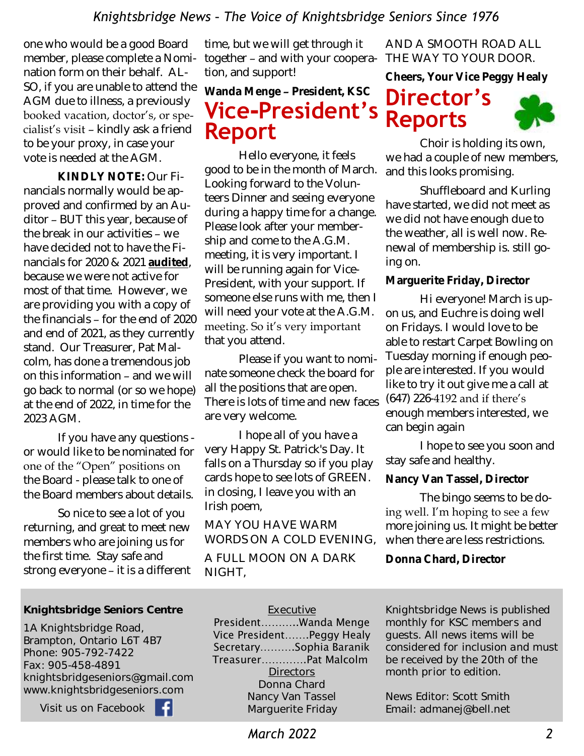one who would be a good Board member, please complete a Nomination form on their behalf. AL-SO, if you are unable to attend the AGM due to illness, a previously booked vacation, doctor's, or specialist's visit – kindly ask a friend to be your proxy, in case your vote is needed at the AGM.

**KINDLY NOTE:** Our Financials normally would be approved and confirmed by an Auditor – BUT this year, because of the break in our activities – we have decided not to have the Financials for 2020 & 2021 **audited**, because we were not active for most of that time. However, we are providing you with a copy of the financials – for the end of 2020 and end of 2021, as they currently stand. Our Treasurer, Pat Malcolm, has done a tremendous job on this information – and we will go back to normal (or so we hope) at the end of 2022, in time for the 2023 AGM.

If you have any questions or would like to be nominated for one of the "Open" positions on the Board - please talk to one of the Board members about details.

So nice to see a lot of you returning, and great to meet new members who are joining us for the first time. Stay safe and strong everyone – it is a different time, but we will get through it together – and with your cooperation, and support!

**Wanda Menge – President, KSC**

# **Vice-President's Report**

Hello everyone, it feels good to be in the month of March. Looking forward to the Volunteers Dinner and seeing everyone during a happy time for a change. Please look after your membership and come to the A.G.M. meeting, it is very important. I will be running again for Vice-President, with your support. If someone else runs with me, then I will need your vote at the A.G.M. meeting. So it's very important that you attend.

Please if you want to nominate someone check the board for all the positions that are open. There is lots of time and new faces are very welcome.

I hope all of you have a very Happy St. Patrick's Day. It falls on a Thursday so if you play cards hope to see lots of GREEN. in closing, I leave you with an Irish poem,

MAY YOU HAVE WARM WORDS ON A COLD EVENING,

A FULL MOON ON A DARK NIGHT,

AND A SMOOTH ROAD ALL THE WAY TO YOUR DOOR.

**Cheers, Your Vice Peggy Healy** 





Choir is holding its own, we had a couple of new members, and this looks promising.

Shuffleboard and Kurling have started, we did not meet as we did not have enough due to the weather, all is well now. Renewal of membership is. still going on.

**Marguerite Friday, Director**

Hi everyone! March is upon us, and Euchre is doing well on Fridays. I would love to be able to restart Carpet Bowling on Tuesday morning if enough people are interested. If you would like to try it out give me a call at (647) 226-4192 and if there's enough members interested, we can begin again

I hope to see you soon and stay safe and healthy.

**Nancy Van Tassel, Director** 

The bingo seems to be doing well. I'm hoping to see a few more joining us. It might be better when there are less restrictions.

**Donna Chard, Director**

#### Knightsbridge Seniors Centre

1A Knightsbridge Road, Brampton, Ontario L6T 4B7 Phone: 905-792-7422 Fax: 905-458-4891 knightsbridgeseniors@gmail.com www.knightsbridgeseniors.com

Visit us on Facebook

#### **Executive**

President………..Wanda Menge Vice President…….Peggy Healy Secretary……….Sophia Baranik Treasurer………….Pat Malcolm **Directors** Donna Chard Nancy Van Tassel Marguerite Friday

*Knightsbridge News is published monthly for KSC members and guests. All news items will be considered for inclusion and must be received by the 20th of the month prior to edition.* 

News Editor: Scott Smith Email: admanej@bell.net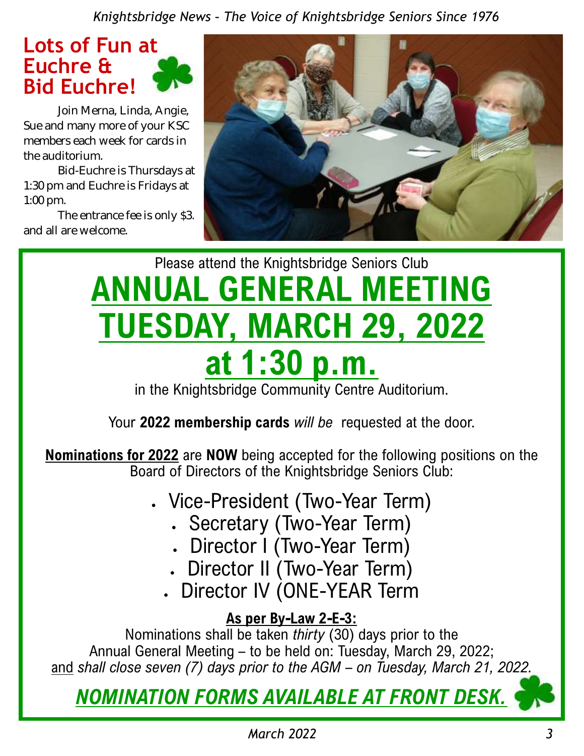

Join Merna, Linda, Angie, Sue and many more of your KSC members each week for cards in the auditorium.

Bid-Euchre is Thursdays at 1:30 pm and Euchre is Fridays at 1:00 pm.

The entrance fee is only \$3. and all are welcome.



# Please attend the Knightsbridge Seniors Club **ANNUAL GENERAL MEETING TUESDAY, MARCH 29, 2022 at 1:30 p.m.**

in the Knightsbridge Community Centre Auditorium.

Your **2022 membership cards** *will be* requested at the door.

**Nominations for 2022** are **NOW** being accepted for the following positions on the Board of Directors of the Knightsbridge Seniors Club:

- Vice-President (Two-Year Term)
	- Secretary (Two-Year Term)
	- Director I (Two-Year Term)
	- Director II (Two-Year Term)
	- Director IV (ONE-YEAR Term

### **As per By-Law 2-E-3:**

Nominations shall be taken *thirty* (30) days prior to the Annual General Meeting – to be held on: Tuesday, March 29, 2022; and *shall close seven (7) days prior to the AGM – on Tuesday, March 21, 2022.*

*NOMINATION FORMS AVAILABLE AT FRONT DESK.*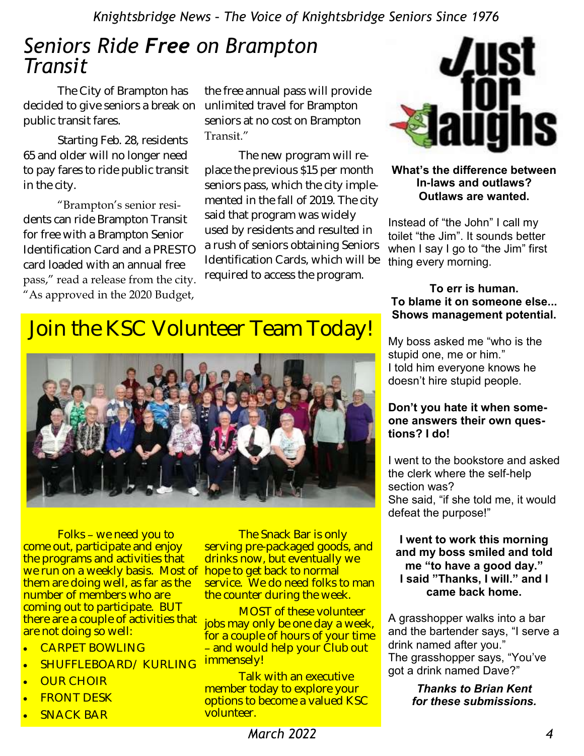## *Seniors Ride Free on Brampton Transit*

The City of Brampton has decided to give seniors a break on unlimited travel for Brampton public transit fares.

Starting Feb. 28, residents 65 and older will no longer need to pay fares to ride public transit in the city.

"Brampton's senior residents can ride Brampton Transit for free with a Brampton Senior Identification Card and a PRESTO card loaded with an annual free pass," read a release from the city. "As approved in the 2020 Budget,

the free annual pass will provide seniors at no cost on Brampton Transit."

The new program will replace the previous \$15 per month seniors pass, which the city implemented in the fall of 2019. The city said that program was widely used by residents and resulted in a rush of seniors obtaining Seniors Identification Cards, which will be required to access the program.



#### **What's the difference between In-laws and outlaws? Outlaws are wanted.**

Instead of "the John" I call my toilet "the Jim". It sounds better when I say I go to "the Jim" first thing every morning.

#### **To err is human. To blame it on someone else... Shows management potential.**

My boss asked me "who is the stupid one, me or him." I told him everyone knows he doesn't hire stupid people.

#### **Don't you hate it when someone answers their own questions? I do!**

I went to the bookstore and asked the clerk where the self-help section was? She said, "if she told me, it would defeat the purpose!"

#### **I went to work this morning and my boss smiled and told me "to have a good day." I said "Thanks, I will." and I came back home.**

A grasshopper walks into a bar and the bartender says, "I serve a drink named after you." The grasshopper says, "You've got a drink named Dave?"

> *Thanks to Brian Kent for these submissions.*

# Join the KSC Volunteer Team Today!



Folks – we need you to come out, participate and enjoy the programs and activities that we run on a weekly basis. Most of hope to get back to normal them are doing well, as far as the number of members who are coming out to participate. BUT there are a couple of activities that are not doing so well:

- CARPET BOWLING
- SHUFFLEBOARD/ KURLING
- OUR CHOIR
- FRONT DESK
- SNACK BAR

The Snack Bar is only serving pre-packaged goods, and drinks now, but eventually we service. We do need folks to man the counter during the week.

MOST of these volunteer jobs may only be one day a week, for a couple of hours of your time – and would help your Club out immensely!

Talk with an executive member today to explore your options to become a valued KSC volunteer.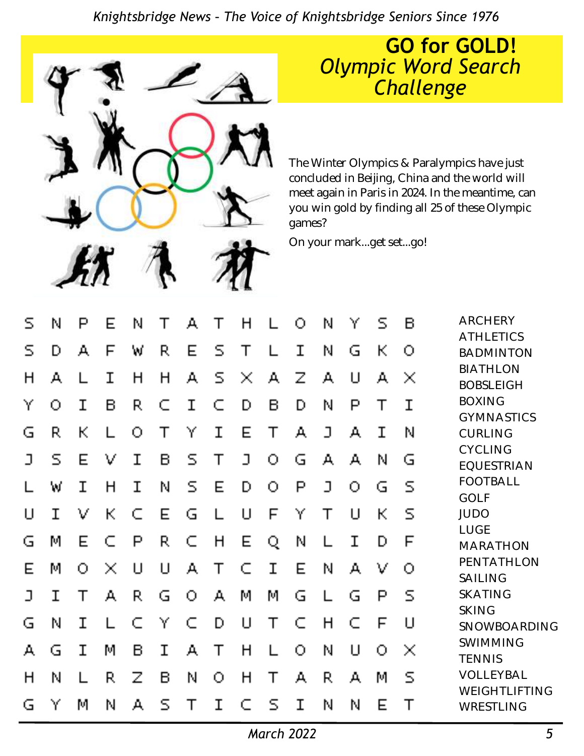

### **GO for GOLD!**  *Olympic Word Search Challenge*

The Winter Olympics & Paralympics have just concluded in Beijing, China and the world will meet again in Paris in 2024. In the meantime, can you win gold by finding all 25 of these Olympic games?

On your mark...get set...go!

| S  | Ν  | P | E.                       | N               | Т           | А              | Τ                       | H            |              | О | N      | Υ                      | S            | B           | <b>ARCHERY</b><br><b>ATHLETICS</b>  |
|----|----|---|--------------------------|-----------------|-------------|----------------|-------------------------|--------------|--------------|---|--------|------------------------|--------------|-------------|-------------------------------------|
| S. | D  | А | F                        | W               | R.          | Е              | $\overline{\mathsf{S}}$ | Т            |              | I | N      | G                      | K.           | О           | <b>BADMINTON</b>                    |
| H  | А  |   | I                        | H               | H           | А              | $\mathsf{S}$            | $\mathbf{x}$ | $\mathbf{A}$ | Ζ | А      | $\mathsf{L}\mathsf{I}$ | А            | $\times$    | <b>BIATHLON</b><br><b>BOBSLEIGH</b> |
| Υ  | О  | Ι | B.                       | R.              | $\subset$   | $\mathbf I$    | C                       | D            | B.           | D | N      | P                      | Τ            | I           | <b>BOXING</b><br><b>GYMNASTICS</b>  |
| G  | R. | К |                          | $\bigcirc$      |             | Υ              | $\mathbf I$             | E            | Τ            | А | $\Box$ | А                      | Ι            | N           | CURLING                             |
| ב  | S. | Е | V                        | I               | B           | S              | Τ                       | $\Box$       | О.           | G | A,     | А                      | N            | G           | <b>CYCLING</b><br><b>EQUESTRIAN</b> |
|    | W  | I | H                        | I               | N           | S              | E                       | D            | О            | P | J      | 0.                     | G            | S           | <b>FOOTBALL</b><br><b>GOLF</b>      |
| U  | Ι  | V | K.                       | C               | Е           | G              | L                       | U            | F            | Υ | Τ      | $\Box$                 | $\mathsf{K}$ | S           | <b>JUDO</b>                         |
| G  | M  | Е | C                        | P               | R.          | C              | H                       | E.           | Q.           | N |        | Ι                      | D            | F           | LUGE<br><b>MARATHON</b>             |
| Е  | М  | O | $\mathcal{N}_\mathrm{c}$ | IJ              | U           | А              | Τ                       | C            | I            | Е | N      | А                      | V            | O           | PENTATHLON<br>SAILING               |
| ב  | Ι  |   | А                        | R.              | G           | $\overline{O}$ | А                       | M            | М            | G |        | G                      | P            | $\mathsf S$ | <b>SKATING</b>                      |
| G  | N  | I |                          | Ú.              | Y           | C              | D                       | U            | Τ            | C | H      | C                      | F            | $\sqcup$    | <b>SKING</b><br>SNOWBOARDING        |
| А  | G  | I | M                        | B.              | $\mathbf T$ | А              | Τ                       | H            |              | O | N      | $\mathbf{1}$           | Ω            | $\times$    | SWIMMING<br><b>TENNIS</b>           |
| H  | N  |   | R,                       | $Z_{\parallel}$ | B           | N              | О                       | H            | Τ            | А | R.     | А                      | M            | $\mathsf S$ | VOLLEYBAL                           |
| G  | Υ  | М | N                        | А               | S           |                | I                       | C            | S            | Ι | N      | N                      | Е            |             | WEIGHTLIFTING<br>WRESTLING          |